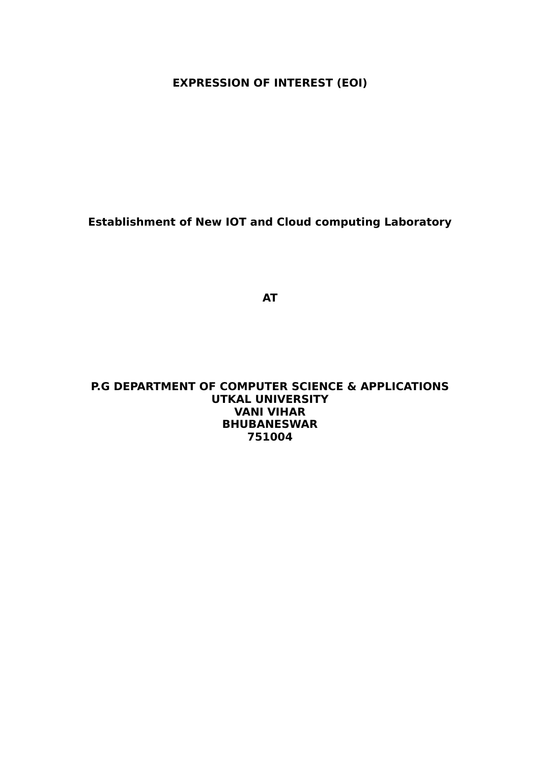**EXPRESSION OF INTEREST (EOI)**

**Establishment of New IOT and Cloud computing Laboratory**

**AT**

**P.G DEPARTMENT OF COMPUTER SCIENCE & APPLICATIONS UTKAL UNIVERSITY VANI VIHAR BHUBANESWAR 751004**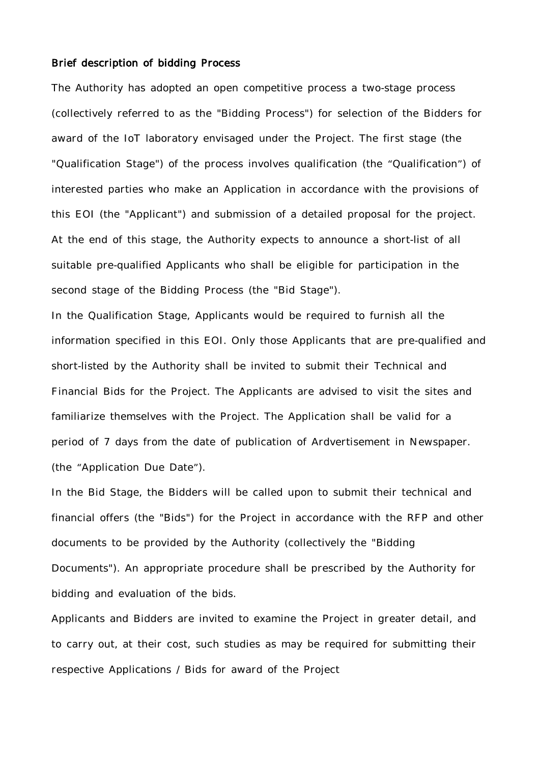#### Brief description of bidding Process

The Authority has adopted an open competitive process a two-stage process (collectively referred to as the "Bidding Process") for selection of the Bidders for award of the IoT laboratory envisaged under the Project. The first stage (the "Qualification Stage") of the process involves qualification (the "Qualification") of interested parties who make an Application in accordance with the provisions of this EOI (the "Applicant") and submission of a detailed proposal for the project. At the end of this stage, the Authority expects to announce a short-list of all suitable pre-qualified Applicants who shall be eligible for participation in the second stage of the Bidding Process (the "Bid Stage").

In the Qualification Stage, Applicants would be required to furnish all the information specified in this EOI. Only those Applicants that are pre-qualified and short-listed by the Authority shall be invited to submit their Technical and Financial Bids for the Project. The Applicants are advised to visit the sites and familiarize themselves with the Project. The Application shall be valid for a period of 7 days from the date of publication of Ardvertisement in Newspaper. (the "Application Due Date").

In the Bid Stage, the Bidders will be called upon to submit their technical and financial offers (the "Bids") for the Project in accordance with the RFP and other documents to be provided by the Authority (collectively the "Bidding Documents"). An appropriate procedure shall be prescribed by the Authority for bidding and evaluation of the bids.

Applicants and Bidders are invited to examine the Project in greater detail, and to carry out, at their cost, such studies as may be required for submitting their respective Applications / Bids for award of the Project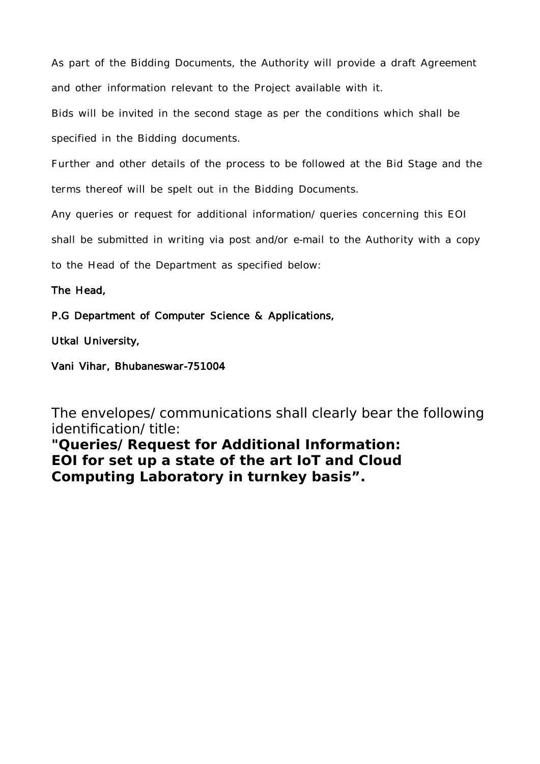As part of the Bidding Documents, the Authority will provide a draft Agreement and other information relevant to the Project available with it.

Bids will be invited in the second stage as per the conditions which shall be specified in the Bidding documents.

Further and other details of the process to be followed at the Bid Stage and the terms thereof will be spelt out in the Bidding Documents.

Any queries or request for additional information/ queries concerning this EOI

shall be submitted in writing via post and/or e-mail to the Authority with a copy

to the Head of the Department as specified below:

The Head,

P.G Department of Computer Science & Applications,

Utkal University,

Vani Vihar, Bhubaneswar-751004

The envelopes/ communications shall clearly bear the following identification/ title:

**"Queries/ Request for Additional Information: EOI for set up a state of the art IoT and Cloud Computing Laboratory in turnkey basis".**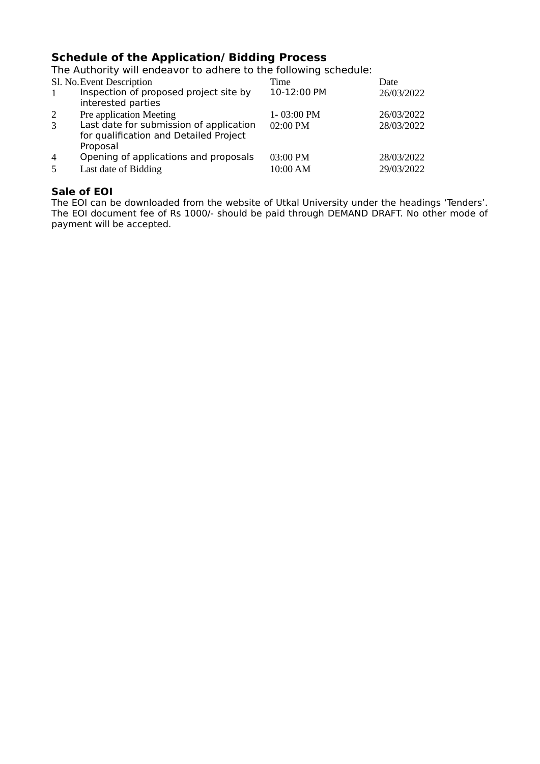## **Schedule of the Application/ Bidding Process**

The Authority will endeavor to adhere to the following schedule:

| Sl. No. Event Description |                                                                                               | Time        | Date       |
|---------------------------|-----------------------------------------------------------------------------------------------|-------------|------------|
|                           | Inspection of proposed project site by<br>interested parties                                  | 10-12:00 PM | 26/03/2022 |
| 2                         | Pre application Meeting                                                                       | 1-03:00 PM  | 26/03/2022 |
| 3                         | Last date for submission of application<br>for qualification and Detailed Project<br>Proposal | 02:00 PM    | 28/03/2022 |
| $\overline{4}$            | Opening of applications and proposals                                                         | 03:00 PM    | 28/03/2022 |
| 5                         | Last date of Bidding                                                                          | 10:00 AM    | 29/03/2022 |

## **Sale of EOI**

The EOI can be downloaded from the website of Utkal University under the headings 'Tenders'. The EOI document fee of Rs 1000/- should be paid through DEMAND DRAFT. No other mode of payment will be accepted.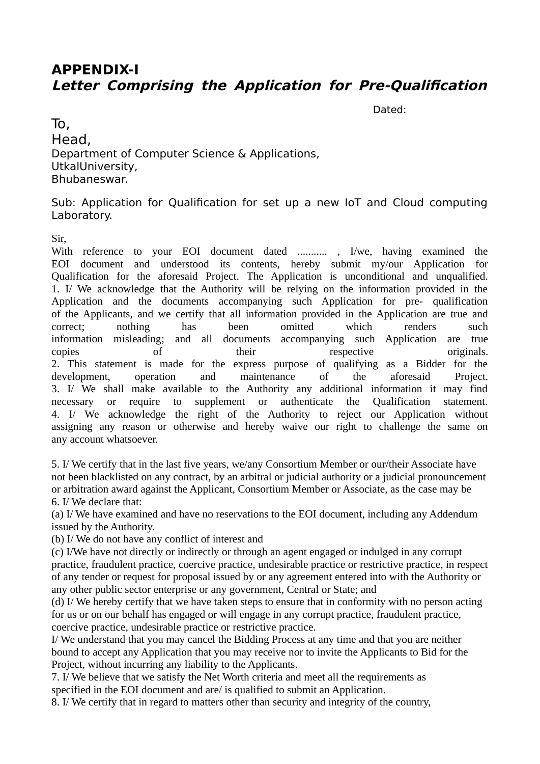# **APPENDIX-I Letter Comprising the Application for Pre-Qualification**

Dated:

To, Head, Department of Computer Science & Applications, UtkalUniversity, Bhubaneswar.

Sub: Application for Qualification for set up a new IoT and Cloud computing Laboratory.

Sir,

With reference to your EOI document dated ........... , I/we, having examined the EOI document and understood its contents, hereby submit my/our Application for Qualification for the aforesaid Project. The Application is unconditional and unqualified. 1. I/ We acknowledge that the Authority will be relying on the information provided in the Application and the documents accompanying such Application for pre- qualification of the Applicants, and we certify that all information provided in the Application are true and correct; nothing has been omitted which renders such information misleading; and all documents accompanying such Application are true copies of their respective originals. 2. This statement is made for the express purpose of qualifying as a Bidder for the development, operation and maintenance of the aforesaid Project. 3. I/ We shall make available to the Authority any additional information it may find necessary or require to supplement or authenticate the Qualification statement. 4. I/ We acknowledge the right of the Authority to reject our Application without assigning any reason or otherwise and hereby waive our right to challenge the same on any account whatsoever.

5. I/ We certify that in the last five years, we/any Consortium Member or our/their Associate have not been blacklisted on any contract, by an arbitral or judicial authority or a judicial pronouncement or arbitration award against the Applicant, Consortium Member or Associate, as the case may be 6. I/ We declare that:

(a) I/ We have examined and have no reservations to the EOI document, including any Addendum issued by the Authority.

(b) I/ We do not have any conflict of interest and

(c) I/We have not directly or indirectly or through an agent engaged or indulged in any corrupt practice, fraudulent practice, coercive practice, undesirable practice or restrictive practice, in respect of any tender or request for proposal issued by or any agreement entered into with the Authority or any other public sector enterprise or any government, Central or State; and

(d) I/ We hereby certify that we have taken steps to ensure that in conformity with no person acting for us or on our behalf has engaged or will engage in any corrupt practice, fraudulent practice, coercive practice, undesirable practice or restrictive practice.

I/ We understand that you may cancel the Bidding Process at any time and that you are neither bound to accept any Application that you may receive nor to invite the Applicants to Bid for the Project, without incurring any liability to the Applicants.

7. I/ We believe that we satisfy the Net Worth criteria and meet all the requirements as specified in the EOI document and are/ is qualified to submit an Application.

8. I/ We certify that in regard to matters other than security and integrity of the country,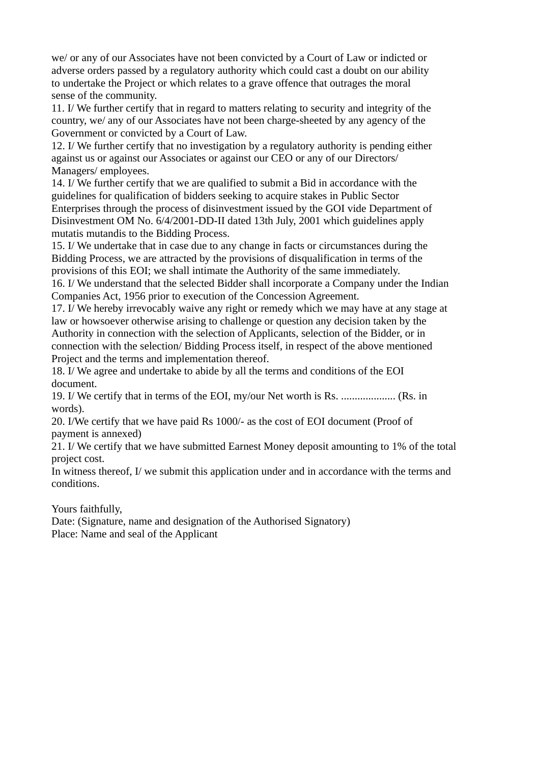we/ or any of our Associates have not been convicted by a Court of Law or indicted or adverse orders passed by a regulatory authority which could cast a doubt on our ability to undertake the Project or which relates to a grave offence that outrages the moral sense of the community.

11. I/ We further certify that in regard to matters relating to security and integrity of the country, we/ any of our Associates have not been charge-sheeted by any agency of the Government or convicted by a Court of Law.

12. I/ We further certify that no investigation by a regulatory authority is pending either against us or against our Associates or against our CEO or any of our Directors/ Managers/ employees.

14. I/ We further certify that we are qualified to submit a Bid in accordance with the guidelines for qualification of bidders seeking to acquire stakes in Public Sector Enterprises through the process of disinvestment issued by the GOI vide Department of Disinvestment OM No. 6/4/2001-DD-II dated 13th July, 2001 which guidelines apply mutatis mutandis to the Bidding Process.

15. I/ We undertake that in case due to any change in facts or circumstances during the Bidding Process, we are attracted by the provisions of disqualification in terms of the provisions of this EOI; we shall intimate the Authority of the same immediately.

16. I/ We understand that the selected Bidder shall incorporate a Company under the Indian Companies Act, 1956 prior to execution of the Concession Agreement.

17. I/ We hereby irrevocably waive any right or remedy which we may have at any stage at law or howsoever otherwise arising to challenge or question any decision taken by the Authority in connection with the selection of Applicants, selection of the Bidder, or in connection with the selection/ Bidding Process itself, in respect of the above mentioned Project and the terms and implementation thereof.

18. I/ We agree and undertake to abide by all the terms and conditions of the EOI document.

19. I/ We certify that in terms of the EOI, my/our Net worth is Rs. .................... (Rs. in words).

20. I/We certify that we have paid Rs 1000/- as the cost of EOI document (Proof of payment is annexed)

21. I/ We certify that we have submitted Earnest Money deposit amounting to 1% of the total project cost.

In witness thereof, I/ we submit this application under and in accordance with the terms and conditions.

Yours faithfully,

Date: (Signature, name and designation of the Authorised Signatory) Place: Name and seal of the Applicant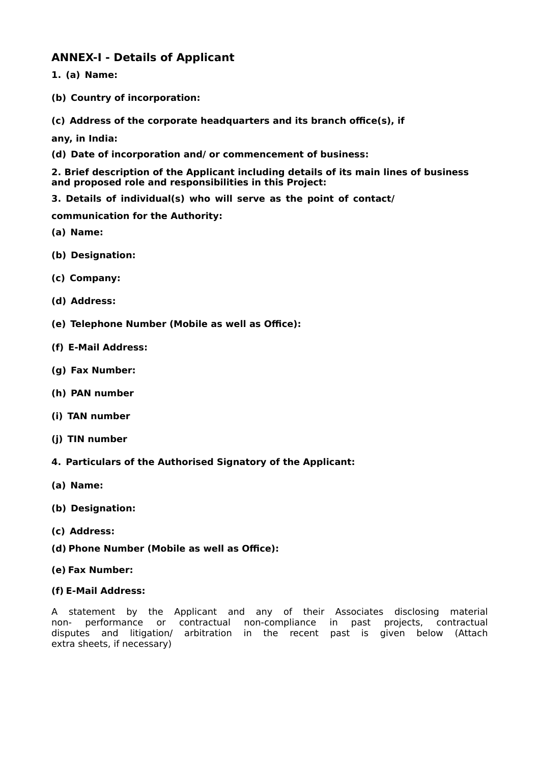## **ANNEX-I - Details of Applicant**

- **1. (a) Name:**
- **(b) Country of incorporation:**
- **(c) Address of the corporate headquarters and its branch office(s), if**

**any, in India:**

**(d) Date of incorporation and/ or commencement of business:**

**2. Brief description of the Applicant including details of its main lines of business and proposed role and responsibilities in this Project:**

**3. Details of individual(s) who will serve as the point of contact/**

**communication for the Authority:**

- **(a) Name:**
- **(b) Designation:**
- **(c) Company:**
- **(d) Address:**
- **(e) Telephone Number (Mobile as well as Office):**
- **(f) E-Mail Address:**
- **(g) Fax Number:**
- **(h) PAN number**
- **(i) TAN number**
- **(j) TIN number**
- **4. Particulars of the Authorised Signatory of the Applicant:**
- **(a) Name:**
- **(b) Designation:**
- **(c) Address:**
- **(d) Phone Number (Mobile as well as Office):**
- **(e) Fax Number:**
- **(f) E-Mail Address:**

A statement by the Applicant and any of their Associates disclosing material non- performance or contractual non-compliance in past projects, contractual disputes and litigation/ arbitration in the recent past is given below (Attach extra sheets, if necessary)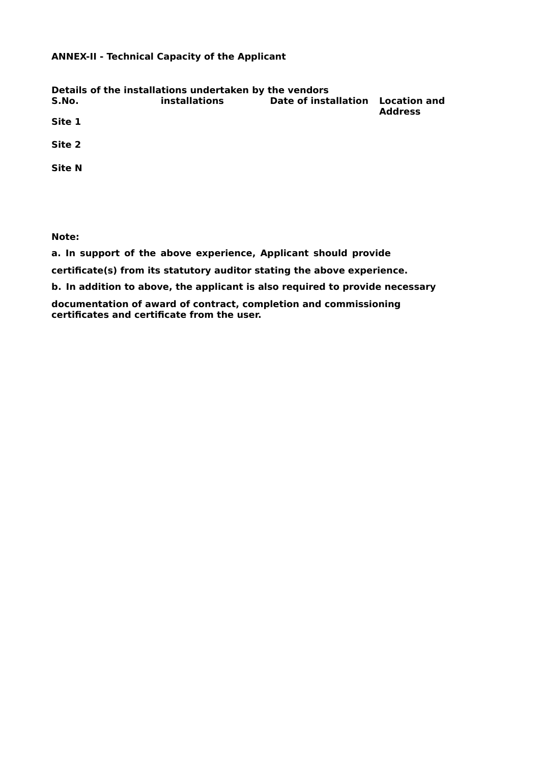### **ANNEX-II - Technical Capacity of the Applicant**

| S.No.         | Details of the installations undertaken by the vendors<br><b>installations</b> | <b>Date of installation</b> | <b>Location and</b> |
|---------------|--------------------------------------------------------------------------------|-----------------------------|---------------------|
| Site 1        |                                                                                |                             | <b>Address</b>      |
| Site 2        |                                                                                |                             |                     |
| <b>Site N</b> |                                                                                |                             |                     |
|               |                                                                                |                             |                     |

**Note:**

**a. In support of the above experience, Applicant should provide**

**certificate(s) from its statutory auditor stating the above experience.**

**b. In addition to above, the applicant is also required to provide necessary**

**documentation of award of contract, completion and commissioning certificates and certificate from the user.**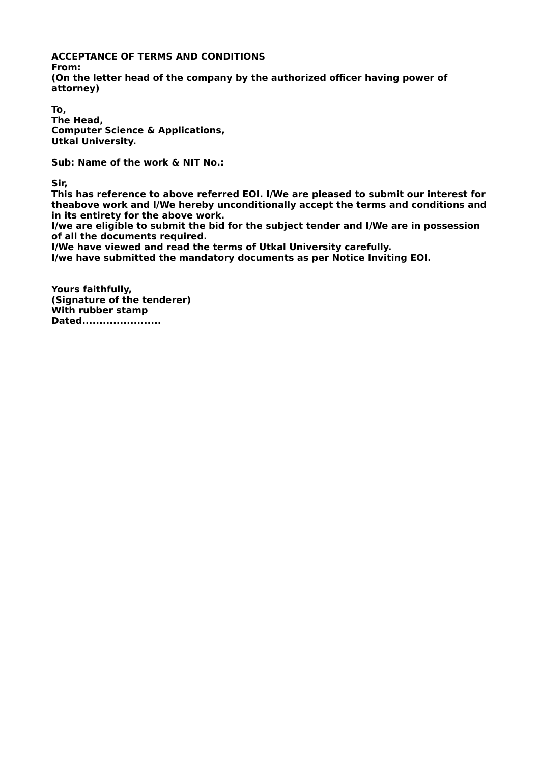#### **ACCEPTANCE OF TERMS AND CONDITIONS**

**From: (On the letter head of the company by the authorized officer having power of attorney)**

**To, The Head, Computer Science & Applications, Utkal University.**

**Sub: Name of the work & NIT No.:**

**Sir,**

**This has reference to above referred EOI. I/We are pleased to submit our interest for theabove work and I/We hereby unconditionally accept the terms and conditions and in its entirety for the above work.**

**I/we are eligible to submit the bid for the subject tender and I/We are in possession of all the documents required.**

**I/We have viewed and read the terms of Utkal University carefully.**

**I/we have submitted the mandatory documents as per Notice Inviting EOI.**

**Yours faithfully, (Signature of the tenderer) With rubber stamp Dated.......................**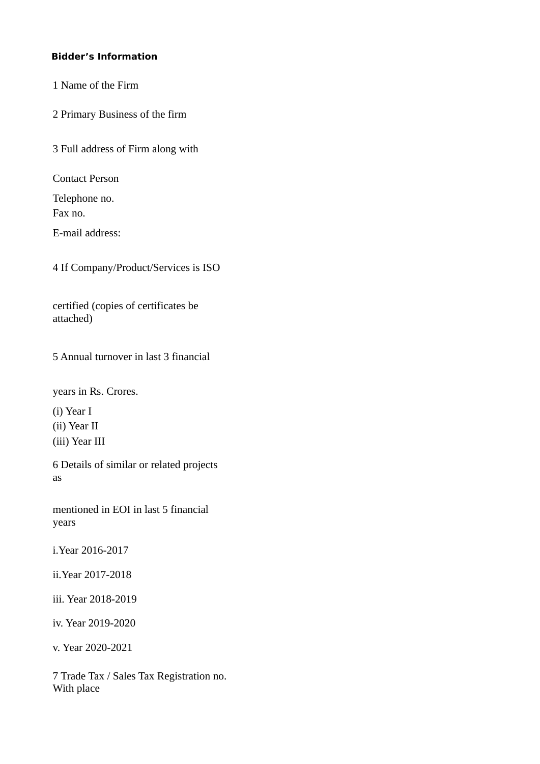## **Bidder's Information**

1 Name of the Firm

2 Primary Business of the firm

3 Full address of Firm along with

Contact Person

Telephone no. Fax no.

E-mail address:

4 If Company/Product/Services is ISO

certified (copies of certificates be attached)

5 Annual turnover in last 3 financial

years in Rs. Crores.

(i) Year I

(ii) Year II

(iii) Year III

6 Details of similar or related projects as

mentioned in EOI in last 5 financial years

i.Year 2016-2017

ii.Year 2017-2018

iii. Year 2018-2019

iv. Year 2019-2020

v. Year 2020-2021

7 Trade Tax / Sales Tax Registration no. With place